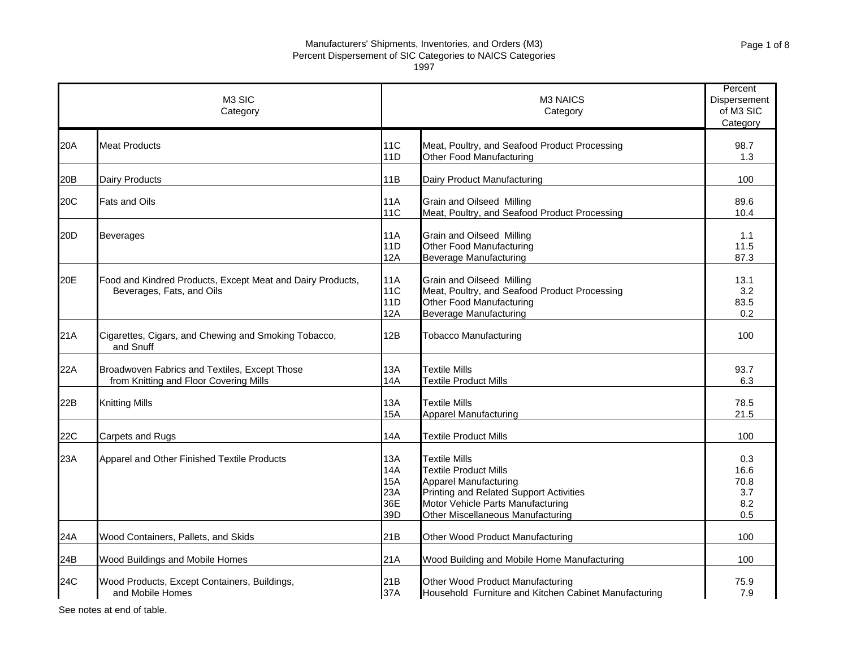1997

|                 | M <sub>3</sub> SIC<br>Category                                                          |                                               | M <sub>3</sub> NAICS<br>Category                                                                                                                                                                          | Percent<br>Dispersement<br>of M3 SIC<br>Category |
|-----------------|-----------------------------------------------------------------------------------------|-----------------------------------------------|-----------------------------------------------------------------------------------------------------------------------------------------------------------------------------------------------------------|--------------------------------------------------|
| 20A             | <b>Meat Products</b>                                                                    | <b>11C</b><br>11D                             | Meat, Poultry, and Seafood Product Processing<br>Other Food Manufacturing                                                                                                                                 | 98.7<br>1.3                                      |
| 20 <sub>B</sub> | Dairy Products                                                                          | 11B                                           | Dairy Product Manufacturing                                                                                                                                                                               | 100                                              |
| 20C             | <b>Fats and Oils</b>                                                                    | 11A<br><b>11C</b>                             | <b>Grain and Oilseed Milling</b><br>Meat, Poultry, and Seafood Product Processing                                                                                                                         | 89.6<br>10.4                                     |
| 20D             | <b>Beverages</b>                                                                        | <b>11A</b><br>11D<br>12A                      | Grain and Oilseed Milling<br>Other Food Manufacturing<br><b>Beverage Manufacturing</b>                                                                                                                    | 1.1<br>11.5<br>87.3                              |
| 20E             | Food and Kindred Products, Except Meat and Dairy Products,<br>Beverages, Fats, and Oils | <b>11A</b><br><b>11C</b><br>11D<br>12A        | <b>Grain and Oilseed Milling</b><br>Meat, Poultry, and Seafood Product Processing<br>Other Food Manufacturing<br><b>Beverage Manufacturing</b>                                                            | 13.1<br>3.2<br>83.5<br>0.2                       |
| 21A             | Cigarettes, Cigars, and Chewing and Smoking Tobacco,<br>and Snuff                       | 12B                                           | <b>Tobacco Manufacturing</b>                                                                                                                                                                              | 100                                              |
| 22A             | Broadwoven Fabrics and Textiles, Except Those<br>from Knitting and Floor Covering Mills | <b>13A</b><br>14A                             | <b>Textile Mills</b><br><b>Textile Product Mills</b>                                                                                                                                                      | 93.7<br>6.3                                      |
| 22B             | <b>Knitting Mills</b>                                                                   | 13A<br>15A                                    | <b>Textile Mills</b><br><b>Apparel Manufacturing</b>                                                                                                                                                      | 78.5<br>21.5                                     |
| 22C             | Carpets and Rugs                                                                        | 14A                                           | <b>Textile Product Mills</b>                                                                                                                                                                              | 100                                              |
| 23A             | Apparel and Other Finished Textile Products                                             | 13A<br>14A<br><b>15A</b><br>23A<br>36E<br>39D | <b>Textile Mills</b><br><b>Textile Product Mills</b><br><b>Apparel Manufacturing</b><br>Printing and Related Support Activities<br>Motor Vehicle Parts Manufacturing<br>Other Miscellaneous Manufacturing | 0.3<br>16.6<br>70.8<br>3.7<br>8.2<br>0.5         |
| 24A             | Wood Containers, Pallets, and Skids                                                     | 21B                                           | Other Wood Product Manufacturing                                                                                                                                                                          | 100                                              |
| 24B             | Wood Buildings and Mobile Homes                                                         | 21A                                           | Wood Building and Mobile Home Manufacturing                                                                                                                                                               | 100                                              |
| 24C             | Wood Products, Except Containers, Buildings,<br>and Mobile Homes                        | 21B<br>37A                                    | Other Wood Product Manufacturing<br>Household Furniture and Kitchen Cabinet Manufacturing                                                                                                                 | 75.9<br>7.9                                      |

See notes at end of table.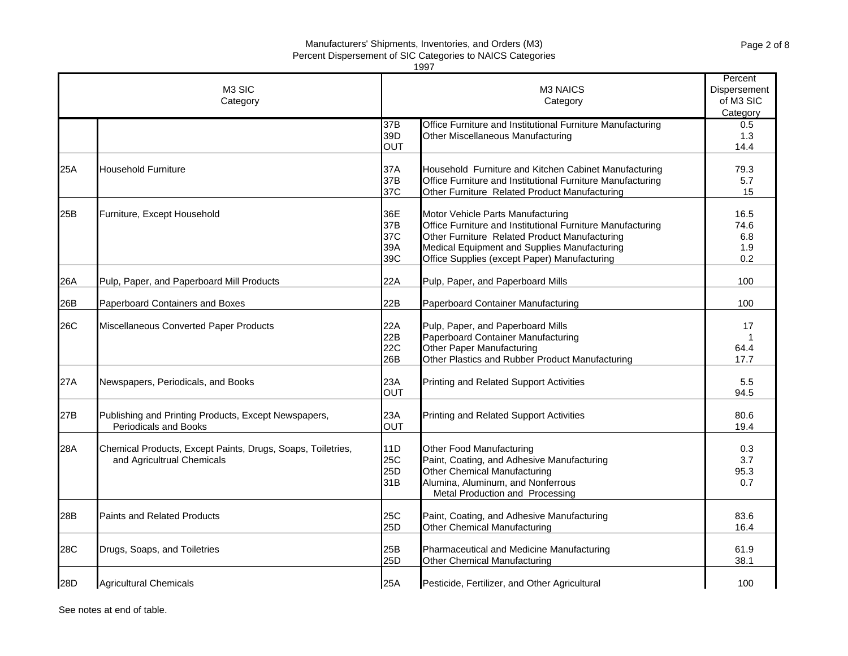|                    |                                                                                           |                                 | 1997                                                                                                                                                                                                                                             |                                   |
|--------------------|-------------------------------------------------------------------------------------------|---------------------------------|--------------------------------------------------------------------------------------------------------------------------------------------------------------------------------------------------------------------------------------------------|-----------------------------------|
| M3 SIC<br>Category |                                                                                           |                                 | M3 NAICS<br>Category                                                                                                                                                                                                                             |                                   |
|                    |                                                                                           | 37B<br>39D<br><b>OUT</b>        | Office Furniture and Institutional Furniture Manufacturing<br>Other Miscellaneous Manufacturing                                                                                                                                                  | Category<br>0.5<br>1.3<br>14.4    |
| 25A                | <b>Household Furniture</b>                                                                | 37A<br>37B<br>37C               | Household Furniture and Kitchen Cabinet Manufacturing<br>Office Furniture and Institutional Furniture Manufacturing<br>Other Furniture Related Product Manufacturing                                                                             | 79.3<br>5.7<br>15                 |
| 25B                | Furniture, Except Household                                                               | 36E<br>37B<br>37C<br>39A<br>39C | Motor Vehicle Parts Manufacturing<br>Office Furniture and Institutional Furniture Manufacturing<br>Other Furniture Related Product Manufacturing<br>Medical Equipment and Supplies Manufacturing<br>Office Supplies (except Paper) Manufacturing | 16.5<br>74.6<br>6.8<br>1.9<br>0.2 |
| 26A                | Pulp, Paper, and Paperboard Mill Products                                                 | 22A                             | Pulp, Paper, and Paperboard Mills                                                                                                                                                                                                                | 100                               |
| 26B                | Paperboard Containers and Boxes                                                           | 22B                             | Paperboard Container Manufacturing                                                                                                                                                                                                               | 100                               |
| 26C                | Miscellaneous Converted Paper Products                                                    | 22A<br>22B<br><b>22C</b><br>26B | Pulp, Paper, and Paperboard Mills<br>Paperboard Container Manufacturing<br>Other Paper Manufacturing<br>Other Plastics and Rubber Product Manufacturing                                                                                          | 17<br>1<br>64.4<br>17.7           |
| 27A                | Newspapers, Periodicals, and Books                                                        | 23A<br><b>OUT</b>               | Printing and Related Support Activities                                                                                                                                                                                                          | 5.5<br>94.5                       |
| 27B                | Publishing and Printing Products, Except Newspapers,<br><b>Periodicals and Books</b>      | 23A<br>OUT                      | Printing and Related Support Activities                                                                                                                                                                                                          | 80.6<br>19.4                      |
| 28A                | Chemical Products, Except Paints, Drugs, Soaps, Toiletries,<br>and Agricultrual Chemicals | 11D<br>25C<br>25D<br>31B        | Other Food Manufacturing<br>Paint, Coating, and Adhesive Manufacturing<br>Other Chemical Manufacturing<br>Alumina, Aluminum, and Nonferrous<br>Metal Production and Processing                                                                   | 0.3<br>3.7<br>95.3<br>0.7         |
| 28B                | <b>Paints and Related Products</b>                                                        | 25C<br>25D                      | Paint, Coating, and Adhesive Manufacturing<br><b>Other Chemical Manufacturing</b>                                                                                                                                                                | 83.6<br>16.4                      |
| <b>28C</b>         | Drugs, Soaps, and Toiletries                                                              | 25B<br>25D                      | Pharmaceutical and Medicine Manufacturing<br><b>Other Chemical Manufacturing</b>                                                                                                                                                                 | 61.9<br>38.1                      |
| 28D                | <b>Agricultural Chemicals</b>                                                             | 25A                             | Pesticide, Fertilizer, and Other Agricultural                                                                                                                                                                                                    | 100                               |

See notes at end of table.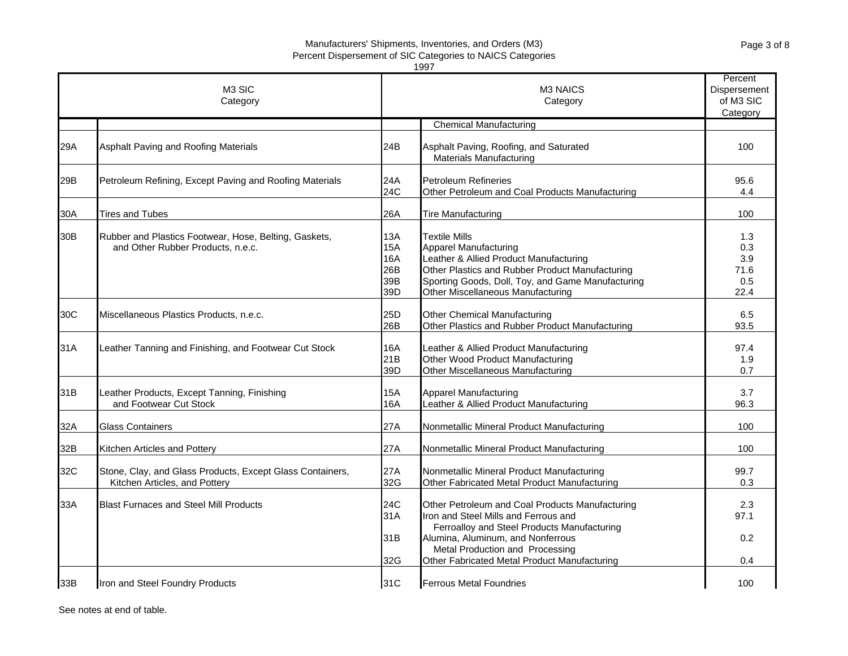|                 |                                                                                            |                                               | 1997                                                                                                                                                                                                                                                           |                                                  |
|-----------------|--------------------------------------------------------------------------------------------|-----------------------------------------------|----------------------------------------------------------------------------------------------------------------------------------------------------------------------------------------------------------------------------------------------------------------|--------------------------------------------------|
|                 | M <sub>3</sub> SIC<br>Category                                                             |                                               | M <sub>3</sub> NAICS<br>Category                                                                                                                                                                                                                               | Percent<br>Dispersement<br>of M3 SIC<br>Category |
|                 |                                                                                            |                                               | <b>Chemical Manufacturing</b>                                                                                                                                                                                                                                  |                                                  |
| 29A             | Asphalt Paving and Roofing Materials                                                       | 24B                                           | Asphalt Paving, Roofing, and Saturated<br>Materials Manufacturing                                                                                                                                                                                              | 100                                              |
| 29B             | Petroleum Refining, Except Paving and Roofing Materials                                    | 24A<br>24C                                    | <b>Petroleum Refineries</b><br>Other Petroleum and Coal Products Manufacturing                                                                                                                                                                                 | 95.6<br>4.4                                      |
| 30A             | <b>Tires and Tubes</b>                                                                     | 26A                                           | Tire Manufacturing                                                                                                                                                                                                                                             | 100                                              |
| 30 <sub>B</sub> | Rubber and Plastics Footwear, Hose, Belting, Gaskets,<br>and Other Rubber Products, n.e.c. | <b>13A</b><br>15A<br>16A<br>26B<br>39B<br>39D | <b>Textile Mills</b><br><b>Apparel Manufacturing</b><br>Leather & Allied Product Manufacturing<br>Other Plastics and Rubber Product Manufacturing<br>Sporting Goods, Doll, Toy, and Game Manufacturing<br>Other Miscellaneous Manufacturing                    | 1.3<br>0.3<br>3.9<br>71.6<br>0.5<br>22.4         |
| 30C             | Miscellaneous Plastics Products, n.e.c.                                                    | 25D<br>26B                                    | <b>Other Chemical Manufacturing</b><br>Other Plastics and Rubber Product Manufacturing                                                                                                                                                                         | 6.5<br>93.5                                      |
| 31A             | Leather Tanning and Finishing, and Footwear Cut Stock                                      | 16A<br>21B<br>39D                             | Leather & Allied Product Manufacturing<br>Other Wood Product Manufacturing<br>Other Miscellaneous Manufacturing                                                                                                                                                | 97.4<br>1.9<br>0.7                               |
| 31B             | Leather Products, Except Tanning, Finishing<br>and Footwear Cut Stock                      | <b>15A</b><br>16A                             | <b>Apparel Manufacturing</b><br>Leather & Allied Product Manufacturing                                                                                                                                                                                         | 3.7<br>96.3                                      |
| 32A             | <b>Glass Containers</b>                                                                    | 27A                                           | Nonmetallic Mineral Product Manufacturing                                                                                                                                                                                                                      | 100                                              |
| 32B             | Kitchen Articles and Pottery                                                               | 27A                                           | Nonmetallic Mineral Product Manufacturing                                                                                                                                                                                                                      | 100                                              |
| 32C             | Stone, Clay, and Glass Products, Except Glass Containers,<br>Kitchen Articles, and Pottery | 27A<br>32G                                    | Nonmetallic Mineral Product Manufacturing<br>Other Fabricated Metal Product Manufacturing                                                                                                                                                                      | 99.7<br>0.3                                      |
| 33A             | <b>Blast Furnaces and Steel Mill Products</b>                                              | 24C<br>31A<br>31B<br>32G                      | Other Petroleum and Coal Products Manufacturing<br>Iron and Steel Mills and Ferrous and<br>Ferroalloy and Steel Products Manufacturing<br>Alumina, Aluminum, and Nonferrous<br>Metal Production and Processing<br>Other Fabricated Metal Product Manufacturing | 2.3<br>97.1<br>0.2<br>0.4                        |
|                 |                                                                                            |                                               |                                                                                                                                                                                                                                                                |                                                  |
| 33B             | Iron and Steel Foundry Products                                                            | 31C                                           | <b>Ferrous Metal Foundries</b>                                                                                                                                                                                                                                 | 100                                              |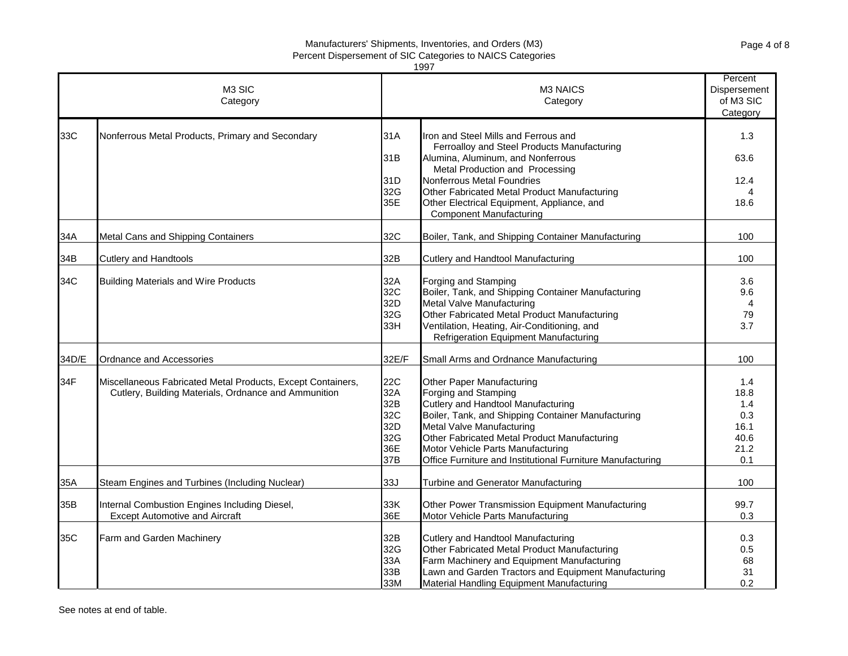| 1997  |                                                             |       |                                                                                     |                                                  |  |
|-------|-------------------------------------------------------------|-------|-------------------------------------------------------------------------------------|--------------------------------------------------|--|
|       | M <sub>3</sub> SIC<br>Category                              |       | <b>M3 NAICS</b><br>Category                                                         | Percent<br>Dispersement<br>of M3 SIC<br>Category |  |
| 33C   | Nonferrous Metal Products, Primary and Secondary            | 31A   | Iron and Steel Mills and Ferrous and<br>Ferroalloy and Steel Products Manufacturing | 1.3                                              |  |
|       |                                                             | 31B   | Alumina, Aluminum, and Nonferrous<br>Metal Production and Processing                | 63.6                                             |  |
|       |                                                             | 31D   | Nonferrous Metal Foundries                                                          | 12.4                                             |  |
|       |                                                             | 32G   | Other Fabricated Metal Product Manufacturing                                        | 4                                                |  |
|       |                                                             | 35E   | Other Electrical Equipment, Appliance, and<br><b>Component Manufacturing</b>        | 18.6                                             |  |
| 34A   | Metal Cans and Shipping Containers                          | 32C   | Boiler, Tank, and Shipping Container Manufacturing                                  | 100                                              |  |
| 34B   | <b>Cutlery and Handtools</b>                                | 32B   | Cutlery and Handtool Manufacturing                                                  | 100                                              |  |
| 34C   | <b>Building Materials and Wire Products</b>                 | 32A   | Forging and Stamping                                                                | 3.6                                              |  |
|       |                                                             | 32C   | Boiler, Tank, and Shipping Container Manufacturing                                  | 9.6                                              |  |
|       |                                                             | 32D   | Metal Valve Manufacturing                                                           | 4                                                |  |
|       |                                                             | 32G   | Other Fabricated Metal Product Manufacturing                                        | 79                                               |  |
|       |                                                             | 33H   | Ventilation, Heating, Air-Conditioning, and                                         | 3.7                                              |  |
|       |                                                             |       | Refrigeration Equipment Manufacturing                                               |                                                  |  |
| 34D/E | Ordnance and Accessories                                    | 32E/F | Small Arms and Ordnance Manufacturing                                               | 100                                              |  |
| 34F   | Miscellaneous Fabricated Metal Products, Except Containers, | 22C   | Other Paper Manufacturing                                                           | 1.4                                              |  |
|       | Cutlery, Building Materials, Ordnance and Ammunition        | 32A   | Forging and Stamping                                                                | 18.8                                             |  |
|       |                                                             | 32B   | Cutlery and Handtool Manufacturing                                                  | 1.4                                              |  |
|       |                                                             | 32C   | Boiler, Tank, and Shipping Container Manufacturing                                  | 0.3                                              |  |
|       |                                                             | 32D   | Metal Valve Manufacturing                                                           | 16.1                                             |  |
|       |                                                             | 32G   | Other Fabricated Metal Product Manufacturing                                        | 40.6                                             |  |
|       |                                                             | 36E   | Motor Vehicle Parts Manufacturing                                                   | 21.2                                             |  |
|       |                                                             | 37B   | Office Furniture and Institutional Furniture Manufacturing                          | 0.1                                              |  |
| 35A   | Steam Engines and Turbines (Including Nuclear)              | 33J   | Turbine and Generator Manufacturing                                                 | 100                                              |  |
| 35B   | Internal Combustion Engines Including Diesel,               | 33K   | Other Power Transmission Equipment Manufacturing                                    | 99.7                                             |  |
|       | <b>Except Automotive and Aircraft</b>                       | 36E   | Motor Vehicle Parts Manufacturing                                                   | 0.3                                              |  |
| 35C   | Farm and Garden Machinery                                   | 32B   | Cutlery and Handtool Manufacturing                                                  | 0.3                                              |  |
|       |                                                             | 32G   | Other Fabricated Metal Product Manufacturing                                        | 0.5                                              |  |
|       |                                                             | 33A   | Farm Machinery and Equipment Manufacturing                                          | 68                                               |  |
|       |                                                             | 33B   | Lawn and Garden Tractors and Equipment Manufacturing                                | 31                                               |  |
|       |                                                             | 33M   | Material Handling Equipment Manufacturing                                           | 0.2                                              |  |

See notes at end of table.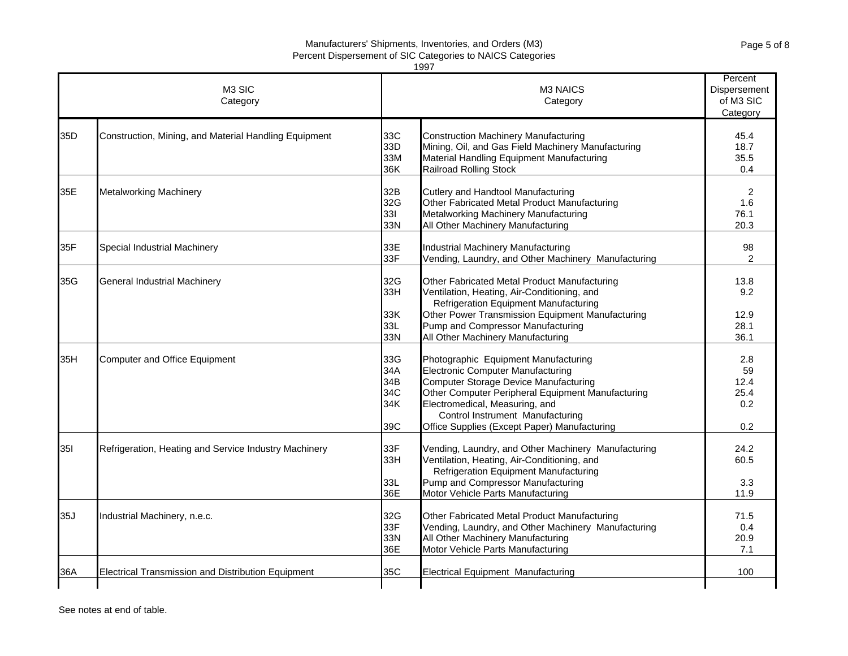| 1997       |                                                       |                                        |                                                                                                                                                                                                                                                                                                      |                                                  |  |
|------------|-------------------------------------------------------|----------------------------------------|------------------------------------------------------------------------------------------------------------------------------------------------------------------------------------------------------------------------------------------------------------------------------------------------------|--------------------------------------------------|--|
|            | M <sub>3</sub> SIC<br>Category                        |                                        | M <sub>3</sub> NAICS<br>Category                                                                                                                                                                                                                                                                     | Percent<br>Dispersement<br>of M3 SIC<br>Category |  |
| 35D        | Construction, Mining, and Material Handling Equipment | 33C<br>33D<br>33M<br>36K               | <b>Construction Machinery Manufacturing</b><br>Mining, Oil, and Gas Field Machinery Manufacturing<br>Material Handling Equipment Manufacturing<br><b>Railroad Rolling Stock</b>                                                                                                                      | 45.4<br>18.7<br>35.5<br>0.4                      |  |
| 35E        | <b>Metalworking Machinery</b>                         | 32B<br>32G<br>331<br>33N               | Cutlery and Handtool Manufacturing<br>Other Fabricated Metal Product Manufacturing<br>Metalworking Machinery Manufacturing<br>All Other Machinery Manufacturing                                                                                                                                      | 2<br>1.6<br>76.1<br>20.3                         |  |
| 35F        | Special Industrial Machinery                          | 33E<br>33F                             | Industrial Machinery Manufacturing<br>Vending, Laundry, and Other Machinery Manufacturing                                                                                                                                                                                                            | 98<br>2                                          |  |
| 35G        | General Industrial Machinery                          | 32G<br>33H<br>33K<br>33L<br>33N        | Other Fabricated Metal Product Manufacturing<br>Ventilation, Heating, Air-Conditioning, and<br>Refrigeration Equipment Manufacturing<br>Other Power Transmission Equipment Manufacturing<br>Pump and Compressor Manufacturing<br>All Other Machinery Manufacturing                                   | 13.8<br>9.2<br>12.9<br>28.1<br>36.1              |  |
| 35H        | Computer and Office Equipment                         | 33G<br>34A<br>34B<br>34C<br>34K<br>39C | Photographic Equipment Manufacturing<br><b>Electronic Computer Manufacturing</b><br>Computer Storage Device Manufacturing<br>Other Computer Peripheral Equipment Manufacturing<br>Electromedical, Measuring, and<br>Control Instrument Manufacturing<br>Office Supplies (Except Paper) Manufacturing | 2.8<br>59<br>12.4<br>25.4<br>0.2<br>0.2          |  |
| <b>351</b> | Refrigeration, Heating and Service Industry Machinery | 33F<br>33H<br>33L<br>36E               | Vending, Laundry, and Other Machinery Manufacturing<br>Ventilation, Heating, Air-Conditioning, and<br><b>Refrigeration Equipment Manufacturing</b><br>Pump and Compressor Manufacturing<br>Motor Vehicle Parts Manufacturing                                                                         | 24.2<br>60.5<br>3.3<br>11.9                      |  |
| 35J        | Industrial Machinery, n.e.c.                          | 32G<br>33F<br>33N<br>36E               | Other Fabricated Metal Product Manufacturing<br>Vending, Laundry, and Other Machinery Manufacturing<br>All Other Machinery Manufacturing<br>Motor Vehicle Parts Manufacturing                                                                                                                        | 71.5<br>0.4<br>20.9<br>7.1                       |  |
| 36A        | Electrical Transmission and Distribution Equipment    | 35C                                    | <b>Electrical Equipment Manufacturing</b>                                                                                                                                                                                                                                                            | 100                                              |  |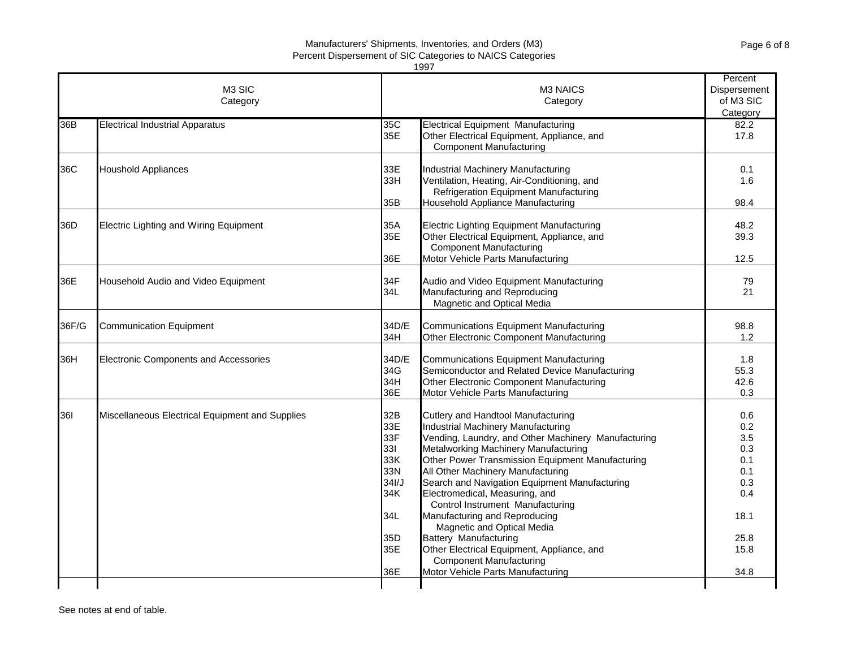|                                | 1997<br>Percent                                 |                                                                                                |                                                                                                                                                                                                                                                                                                                                                                                                                                                                                                                                                                                                      |                                                                                      |  |  |  |
|--------------------------------|-------------------------------------------------|------------------------------------------------------------------------------------------------|------------------------------------------------------------------------------------------------------------------------------------------------------------------------------------------------------------------------------------------------------------------------------------------------------------------------------------------------------------------------------------------------------------------------------------------------------------------------------------------------------------------------------------------------------------------------------------------------------|--------------------------------------------------------------------------------------|--|--|--|
| M <sub>3</sub> SIC<br>Category |                                                 |                                                                                                | M3 NAICS<br>Category                                                                                                                                                                                                                                                                                                                                                                                                                                                                                                                                                                                 |                                                                                      |  |  |  |
| 36B                            | <b>Electrical Industrial Apparatus</b>          | 35C<br>35E                                                                                     | <b>Electrical Equipment Manufacturing</b><br>Other Electrical Equipment, Appliance, and<br><b>Component Manufacturing</b>                                                                                                                                                                                                                                                                                                                                                                                                                                                                            | 82.2<br>17.8                                                                         |  |  |  |
| 36C                            | <b>Houshold Appliances</b>                      | 33E<br>33H<br>35B                                                                              | Industrial Machinery Manufacturing<br>Ventilation, Heating, Air-Conditioning, and<br><b>Refrigeration Equipment Manufacturing</b><br>Household Appliance Manufacturing                                                                                                                                                                                                                                                                                                                                                                                                                               | 0.1<br>1.6<br>98.4                                                                   |  |  |  |
| 36D                            | <b>Electric Lighting and Wiring Equipment</b>   | 35A<br>35E<br>36E                                                                              | Electric Lighting Equipment Manufacturing<br>Other Electrical Equipment, Appliance, and<br><b>Component Manufacturing</b><br>Motor Vehicle Parts Manufacturing                                                                                                                                                                                                                                                                                                                                                                                                                                       | 48.2<br>39.3<br>12.5                                                                 |  |  |  |
| 36E                            | Household Audio and Video Equipment             | 34F<br>34L                                                                                     | Audio and Video Equipment Manufacturing<br>Manufacturing and Reproducing<br>Magnetic and Optical Media                                                                                                                                                                                                                                                                                                                                                                                                                                                                                               | 79<br>21                                                                             |  |  |  |
| 36F/G                          | <b>Communication Equipment</b>                  | 34D/E<br>34H                                                                                   | Communications Equipment Manufacturing<br>Other Electronic Component Manufacturing                                                                                                                                                                                                                                                                                                                                                                                                                                                                                                                   | 98.8<br>1.2                                                                          |  |  |  |
| 36H                            | <b>Electronic Components and Accessories</b>    | 34D/E<br>34G<br>34H<br>36E                                                                     | Communications Equipment Manufacturing<br>Semiconductor and Related Device Manufacturing<br>Other Electronic Component Manufacturing<br>Motor Vehicle Parts Manufacturing                                                                                                                                                                                                                                                                                                                                                                                                                            | 1.8<br>55.3<br>42.6<br>0.3                                                           |  |  |  |
| 361                            | Miscellaneous Electrical Equipment and Supplies | 32B<br>33E<br>33F<br>331<br>33K<br>33N<br>34I/J<br>34K<br>34L<br>35 <sub>D</sub><br>35E<br>36E | Cutlery and Handtool Manufacturing<br>Industrial Machinery Manufacturing<br>Vending, Laundry, and Other Machinery Manufacturing<br>Metalworking Machinery Manufacturing<br>Other Power Transmission Equipment Manufacturing<br>All Other Machinery Manufacturing<br>Search and Navigation Equipment Manufacturing<br>Electromedical, Measuring, and<br>Control Instrument Manufacturing<br>Manufacturing and Reproducing<br>Magnetic and Optical Media<br>Battery Manufacturing<br>Other Electrical Equipment, Appliance, and<br><b>Component Manufacturing</b><br>Motor Vehicle Parts Manufacturing | 0.6<br>0.2<br>3.5<br>0.3<br>0.1<br>0.1<br>0.3<br>0.4<br>18.1<br>25.8<br>15.8<br>34.8 |  |  |  |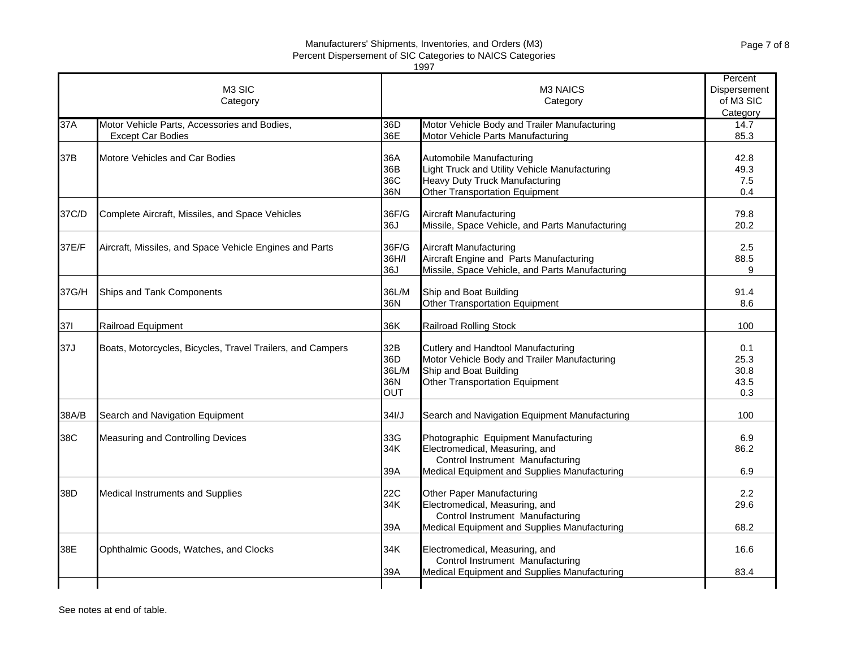|       |                                                                          |                                          | 1997                                                                                                                                                       |                                                  |
|-------|--------------------------------------------------------------------------|------------------------------------------|------------------------------------------------------------------------------------------------------------------------------------------------------------|--------------------------------------------------|
|       | M <sub>3</sub> SIC<br>Category                                           |                                          | M <sub>3</sub> NAICS<br>Category                                                                                                                           | Percent<br>Dispersement<br>of M3 SIC<br>Category |
| 37A   | Motor Vehicle Parts, Accessories and Bodies,<br><b>Except Car Bodies</b> | 36D<br>36E                               | Motor Vehicle Body and Trailer Manufacturing<br>Motor Vehicle Parts Manufacturing                                                                          | 14.7<br>85.3                                     |
| 37B   | Motore Vehicles and Car Bodies                                           | 36A<br>36B<br>36C<br>36N                 | Automobile Manufacturing<br>Light Truck and Utility Vehicle Manufacturing<br>Heavy Duty Truck Manufacturing<br>Other Transportation Equipment              | 42.8<br>49.3<br>7.5<br>0.4                       |
| 37C/D | Complete Aircraft, Missiles, and Space Vehicles                          | 36F/G<br>36J                             | Aircraft Manufacturing<br>Missile, Space Vehicle, and Parts Manufacturing                                                                                  | 79.8<br>20.2                                     |
| 37E/F | Aircraft, Missiles, and Space Vehicle Engines and Parts                  | 36F/G<br>36H/I<br>36J                    | <b>Aircraft Manufacturing</b><br>Aircraft Engine and Parts Manufacturing<br>Missile, Space Vehicle, and Parts Manufacturing                                | 2.5<br>88.5<br>9                                 |
| 37G/H | Ships and Tank Components                                                | 36L/M<br>36N                             | Ship and Boat Building<br>Other Transportation Equipment                                                                                                   | 91.4<br>8.6                                      |
| 371   | Railroad Equipment                                                       | 36K                                      | <b>Railroad Rolling Stock</b>                                                                                                                              | 100                                              |
| 37J   | Boats, Motorcycles, Bicycles, Travel Trailers, and Campers               | 32B<br>36D<br>36L/M<br>36N<br><b>OUT</b> | Cutlery and Handtool Manufacturing<br>Motor Vehicle Body and Trailer Manufacturing<br>Ship and Boat Building<br>Other Transportation Equipment             | 0.1<br>25.3<br>30.8<br>43.5<br>0.3               |
| 38A/B | Search and Navigation Equipment                                          | 34I/J                                    | Search and Navigation Equipment Manufacturing                                                                                                              | 100                                              |
| 38C   | Measuring and Controlling Devices                                        | 33G<br>34K<br>39A                        | Photographic Equipment Manufacturing<br>Electromedical, Measuring, and<br>Control Instrument Manufacturing<br>Medical Equipment and Supplies Manufacturing | 6.9<br>86.2<br>6.9                               |
| 38D   | Medical Instruments and Supplies                                         | 22C<br>34K<br>39A                        | Other Paper Manufacturing<br>Electromedical, Measuring, and<br>Control Instrument Manufacturing<br>Medical Equipment and Supplies Manufacturing            | 2.2<br>29.6<br>68.2                              |
| 38E   | Ophthalmic Goods, Watches, and Clocks                                    | 34K                                      | Electromedical, Measuring, and<br>Control Instrument Manufacturing                                                                                         | 16.6                                             |
|       |                                                                          | 39A                                      | Medical Equipment and Supplies Manufacturing                                                                                                               | 83.4                                             |